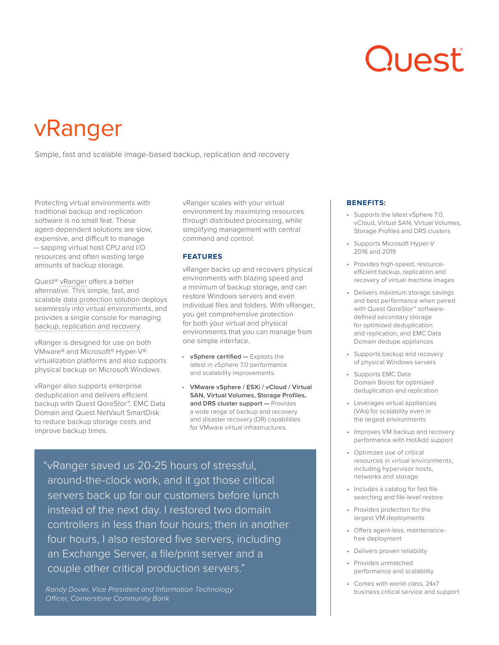# Quest

## vRanger

Simple, fast and scalable image-based backup, replication and recovery

Protecting virtual environments with traditional backup and replication software is no small feat. These agent-dependent solutions are slow, expensive, and difficult to manage — sapping virtual host CPU and I/O resources and often wasting large amounts of backup storage.

Quest® [vRanger](https://www.quest.com/products/vranger/) offers a better alternative. This simple, fast, and scalable [data protection solution](https://www.quest.com/products/vranger/) deploys seamlessly into virtual environments, and provides a single console for managing [backup, replication and recovery.](https://www.quest.com/products/vranger/)

vRanger is designed for use on both VMware® and Microsoft® Hyper-V® virtualization platforms and also supports physical backup on Microsoft Windows.

vRanger also supports enterprise deduplication and delivers efficient backup with Quest QoreStor™, EMC Data Domain and Quest NetVault SmartDisk to reduce backup storage costs and improve backup times.

vRanger scales with your virtual environment by maximizing resources through distributed processing, while simplifying management with central command and control.

#### **FEATURES**

vRanger backs up and recovers physical environments with blazing speed and a minimum of backup storage, and can restore Windows servers and even individual files and folders. With vRanger, you get comprehensive protection for both your virtual and physical environments that you can manage from one simple interface.

- **vSphere certified —** Exploits the latest in vSphere 7.0 performance and scalability improvements.
- **VMware vSphere / ESXi / vCloud / Virtual SAN, Virtual Volumes, Storage Profiles, and DRS cluster support —** Provides a wide range of backup and recovery and disaster recovery (DR) capabilities for VMware virtual infrastructures.

"vRanger saved us 20-25 hours of stressful, around-the-clock work, and it got those critical servers back up for our customers before lunch instead of the next day. I restored two domain controllers in less than four hours; then in another four hours, I also restored five servers, including an Exchange Server, a file/print server and a couple other critical production servers."

*Randy Dover, Vice President and Information Technology Officer, Cornerstone Community Bank*

#### **BENEFITS:**

- Supports the latest vSphere 7.0, vCloud, Virtual SAN, Virtual Volumes, Storage Profiles and DRS clusters
- Supports Microsoft Hyper-V 2016 and 2019
- Provides high-speed, resourceefficient backup, replication and recovery of virtual machine images
- Delivers maximum storage savings and best performance when paired with Quest QoreStor™ softwaredefined secondary storage for optimized deduplication and replication, and EMC Data Domain dedupe appliances
- Supports backup and recovery of physical Windows servers
- Supports EMC Data Domain Boost for optimized deduplication and replication
- Leverages virtual appliances (VAs) for scalability even in the largest environments
- Improves VM backup and recovery performance with HotAdd support
- Optimizes use of critical resources in virtual environments, including hypervisor hosts, networks and storage
- Includes a catalog for fast file searching and file-level restore
- Provides protection for the largest VM deployments
- Offers agent-less, maintenancefree deployment
- Delivers proven reliability
- Provides unmatched performance and scalability
- Comes with world-class, 24x7 business critical service and support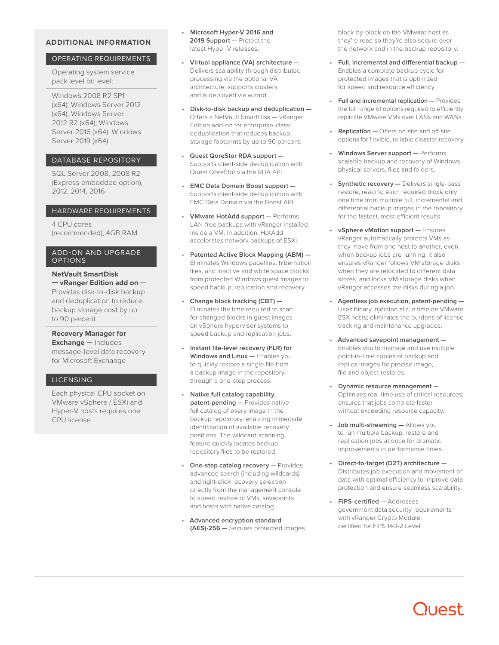#### **ADDITIONAL INFORMATION**

#### OPERATING REQUIREMENTS

Operating system service pack level bit level:

Windows 2008 R2 SP1 (x64); Windows Server 2012 (x64), Windows Server 2012 R2 (x64); Windows Server 2016 (x64); Windows Server 2019 (x64)

#### DATABASE REPOSITORY

SQL Server 2008, 2008 R2 (Express embedded option), 2012, 2014, 2016

#### HARDWARE REQUIREMENTS

4 CPU cores (recommended); 4GB RAM

#### ADD-ON AND UPGRADE OPTIONS

**NetVault SmartDisk — vRanger Edition add on** — Provides disk-to-disk backup and deduplication to reduce backup storage cost by up to 90 percent

**Recovery Manager for Exchange** — Includes message-level data recovery for Microsoft Exchange

#### LICENSING

Each physical CPU socket on VMware vSphere / ESXi and Hyper-V hosts requires one CPU license

- **Microsoft Hyper-V 2016 and 2019 Support —** Protect the latest Hyper-V releases.
- **Virtual appliance (VA) architecture —** Delivers scalability through distributed processing via the optional VA architecture; supports clusters; and is deployed via wizard.
- **Disk-to-disk backup and deduplication —** Offers a NetVault SmartDisk — vRanger Edition add-on for enterprise-class deduplication that reduces backup storage footprints by up to 90 percent.
- **Quest QoreStor RDA support —** Supports client-side deduplication with Quest QoreStor via the RDA API.
- **EMC Data Domain Boost support —** Supports client-side deduplication with EMC Data Domain via the Boost API.
- **VMware HotAdd support —** Performs LAN-free backups with vRanger installed inside a VM. In addition, HotAdd accelerates network backups of ESXi.
- **Patented Active Block Mapping (ABM) —** Eliminates Windows pagefiles, hibernation files, and inactive and white space blocks from protected Windows guest images to speed backup, replication and recovery.
- **Change block tracking (CBT) —** Eliminates the time required to scan for changed blocks in guest images on vSphere hypervisor systems to speed backup and replication jobs.
- **Instant file-level recovery (FLR) for Windows and Linux —** Enables you to quickly restore a single file from a backup image in the repository through a one-step process.
- **Native full catalog capability, patent-pending —** Provides native full catalog of every image in the backup repository, enabling immediate identification of available recovery positions. The wildcard scanning feature quickly locates backup repository files to be restored.
- **One-step catalog recovery —** Provides advanced search (including wildcards) and right-click recovery selection directly from the management console to speed restore of VMs, savepoints and hosts with native catalog.
- **Advanced encryption standard (AES)-256 —** Secures protected images

block-by-block on the VMware host as they're read so they're also secure over the network and in the backup repository.

- **Full, incremental and differential backup —** Enables a complete backup cycle for protected images that is optimized for speed and resource efficiency.
- **Full and incremental replication —** Provides the full range of options required to efficiently replicate VMware VMs over LANs and WANs.
- **Replication —** Offers on-site and off-site options for flexible, reliable disaster recovery.
- **Windows Server support —** Performs scalable backup and recovery of Windows physical servers, files and folders.
- **Synthetic recovery -** Delivers single-pass restore, reading each required block only one time from multiple full, incremental and differential backup images in the repository for the fastest, most efficient results.
- **vSphere vMotion support —** Ensures vRanger automatically protects VMs as they move from one host to another, even when backup jobs are running. It also ensures vRanger follows VM storage disks when they are relocated to different data stores, and locks VM storage disks when vRanger accesses the disks during a job.
- **Agentless job execution, patent-pending —** Uses binary injection at run time on VMware ESX hosts; eliminates the burdens of license tracking and maintenance upgrades.
- **Advanced savepoint management —** Enables you to manage and use multiple point-in-time copies of backup and replica images for precise image, file and object restores.
- **Dynamic resource management —** Optimizes real-time use of critical resources; ensures that jobs complete faster without exceeding resource capacity.
- **Job multi-streaming —** Allows you to run multiple backup, restore and replication jobs at once for dramatic improvements in performance times.
- **Direct-to-target (D2T) architecture —** Distributes job execution and movement of data with optimal efficiency to improve data protection and ensure seamless scalability.
- **FIPS-certified —** Addresses government data security requirements with vRanger Crypto Module, certified for FIPS 140-2 Level.

### ILIAST